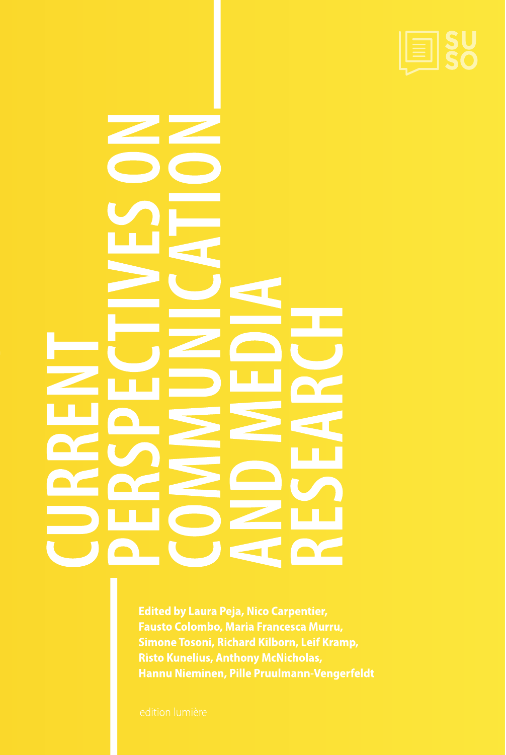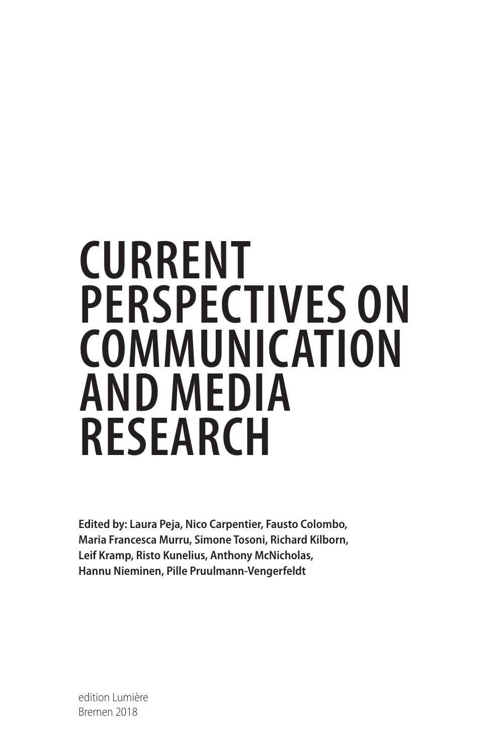# <span id="page-1-0"></span>**CURRENT PERSPECTIVES ON COMMUNICATION AND MEDIA RESEARCH**

**Edited by: Laura Peja, Nico Carpentier, Fausto Colombo, Maria Francesca Murru, Simone Tosoni, Richard Kilborn, Leif Kramp, Risto Kunelius, Anthony McNicholas, Hannu Nieminen, Pille Pruulmann-Vengerfeldt**

Bremen 2018 edition Lumière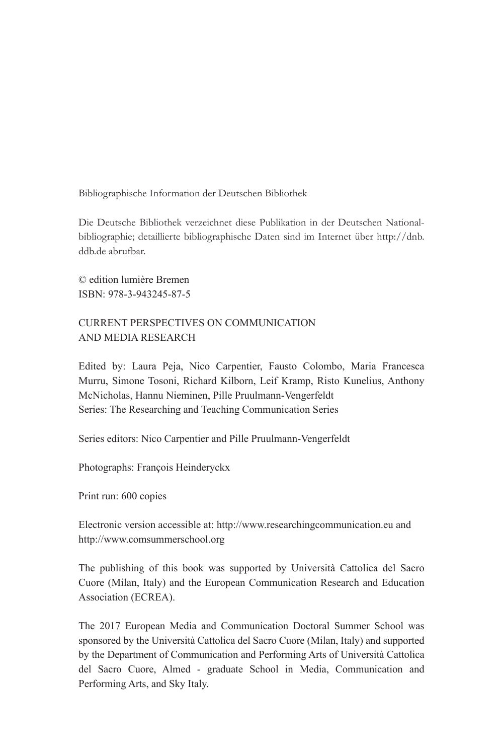Bibliographische Information der Deutschen Bibliothek

Die Deutsche Bibliothek verzeichnet diese Publikation in der Deutschen Nationalbibliographie; detaillierte bibliographische Daten sind im Internet über [http://dnb.](http://dnb.ddb.de) [ddb.de](http://dnb.ddb.de) abrufbar.

© edition lumière Bremen ISBN: 978-3-943245-87-5

# CURRENT PERSPECTIVES ON COMMUNICATION AND MEDIA RESEARCH

Edited by: Laura Peja, Nico Carpentier, Fausto Colombo, Maria Francesca Murru, Simone Tosoni, Richard Kilborn, Leif Kramp, Risto Kunelius, Anthony McNicholas, Hannu Nieminen, Pille Pruulmann-Vengerfeldt Series: The Researching and Teaching Communication Series

Series editors: Nico Carpentier and Pille Pruulmann-Vengerfeldt

Photographs: François Heinderyckx

Print run: 600 copies

Electronic version accessible at:<http://www.researchingcommunication.eu>and <http://www.comsummerschool.org>

The publishing of this book was supported by Università Cattolica del Sacro Cuore (Milan, Italy) and the European Communication Research and Education Association (ECREA).

The 2017 European Media and Communication Doctoral Summer School was sponsored by the Università Cattolica del Sacro Cuore (Milan, Italy) and supported by the Department of Communication and Performing Arts of Università Cattolica del Sacro Cuore, Almed - graduate School in Media, Communication and Performing Arts, and Sky Italy.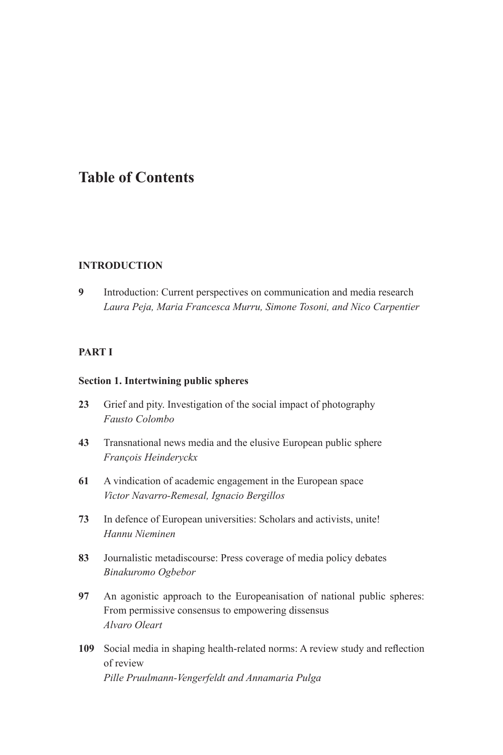# <span id="page-3-0"></span>**Table of Contents**

#### **INTRODUCTION**

**9** [Introduction: Current perspectives on communication and media research](#page-0-0) *[Laura Peja, Maria Francesca Murru, Simone Tosoni, and Nico Carpentier](#page-0-0)*

#### **[PART I](#page-0-1)**

#### **[Section 1. Intertwining public spheres](#page-0-0)**

- **23** [Grief and pity. Investigation of the social impact of photography](#page-0-0) *[Fausto Colombo](#page-0-0)*
- **43** [Transnational news media and the elusive European public sphere](#page-0-0) *[François Heinderyckx](#page-0-0)*
- **61** [A vindication of academic engagement in the European space](#page-0-0) *[Victor Navarro-Remesal, Ignacio Bergillos](#page-0-0)*
- **73** [In defence of European universities: Scholars and activists, unite!](#page-1-0) *[Hannu Nieminen](#page-1-0)*
- **83** [Journalistic metadiscourse: Press coverage of media policy debates](#page-0-0) *[Binakuromo Ogbebor](#page-0-0)*
- **97** [An agonistic approach to the Europeanisation of national public spheres:](#page-0-0)  [From permissive consensus to empowering dissensus](#page-0-0) *[Alvaro Oleart](#page-0-0)*
- **109** Social media in shaping [health-related](#page-0-0) norms: A review study and refection [of review](#page-0-0) *[Pille Pruulmann-Vengerfeldt and Annamaria Pulga](#page-0-0)*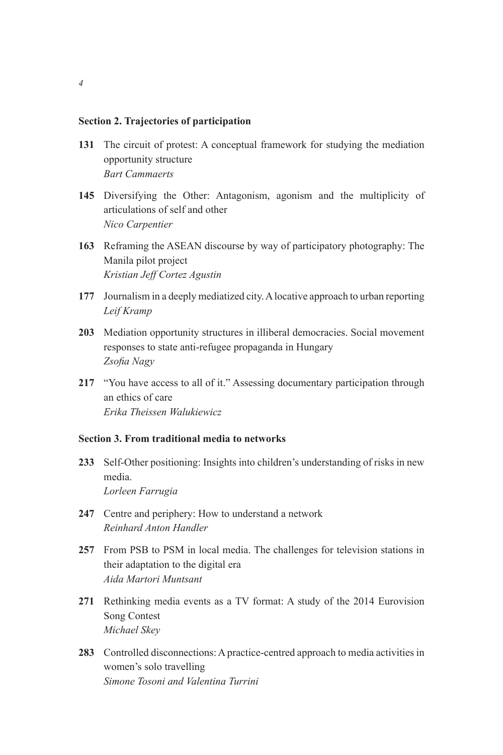#### <span id="page-4-0"></span>**Section 2. [Trajectories of participation](#page-1-0)**

- **131** [The circuit of protest: A conceptual framework for studying the mediation](#page-0-0)  [opportunity structure](#page-0-0) *[Bart Cammaerts](#page-0-0)*
- **145** [Diversifying the Other: Antagonism, agonism and the multiplicity of](#page-0-0)  [articulations of self and other](#page-0-0) *[Nico Carpentier](#page-0-0)*
- **163** [Reframing the ASEAN discourse by way of participatory photography: The](#page-0-0)  [Manila pilot project](#page-0-0) *[Kristian Jeff Cortez Agustin](#page-0-0)*
- **177** [Journalism in a deeply mediatized city. A locative approach to urban reporting](#page-0-0) *[Leif Kramp](#page-0-0)*
- **203** [Mediation opportunity structures in illiberal democracies. Social movement](#page-0-0)  [responses to state anti-refugee propaganda in Hungary](#page-0-0)  *[Zsofa Nagy](#page-0-0)*
- **217** ["You have access to all of it." Assessing documentary participation through](#page-0-0)  [an ethics of care](#page-0-0) *[Erika Theissen Walukiewicz](#page-0-0)*

#### **Section 3. [From traditional media to networks](#page-0-0)**

- **233** [Self-Other positioning: Insights into children's understanding of risks in new](#page-0-0)  [media.](#page-0-0) *[Lorleen Farrugia](#page-0-0)*
- **247** [Centre and periphery: How to understand a network](#page-0-0) *[Reinhard Anton Handler](#page-0-0)*
- **257** [From PSB to PSM in local media. The challenges for television stations in](#page-0-0)  [their adaptation to the digital era](#page-0-0) *[Aida Martori Muntsant](#page-0-0)*
- **271** [Rethinking media events as a TV format: A study of the 2014 Eurovision](#page-0-0)  [Song Contest](#page-0-0) *[Michael Skey](#page-0-0)*
- **283** [Controlled disconnections: A practice-centred approach to media activities in](#page-0-0)  [women's solo travelling](#page-0-0) *[Simone Tosoni and Valentina Turrini](#page-0-0)*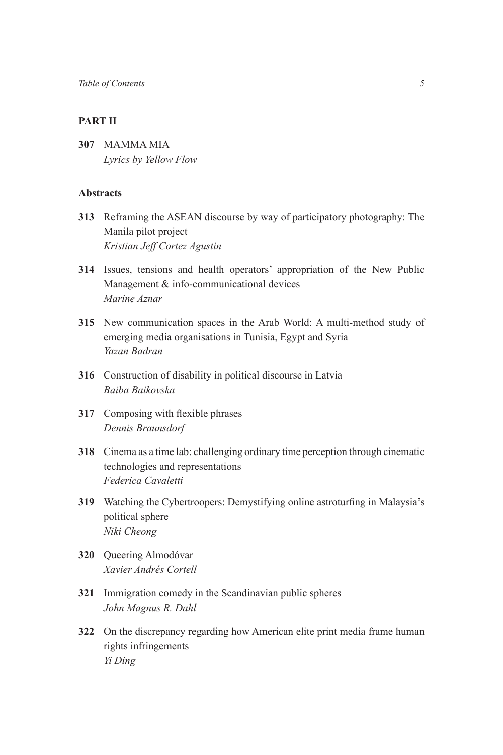### **[PART II](#page-0-1)**

**307** [MAMMA MIA](#page-0-0) *Lyrics by Yellow Flow*

#### **A[bstracts](#page-1-0)**

- **313** [Reframing the ASEAN discourse by way of participatory photography: The](#page-3-0)  [Manila pilot project](#page-3-0) *[Kristian Jeff Cortez Agustin](#page-3-0)*
- **314** [Issues, tensions and health operators' appropriation of the New Public](#page-4-0)  [Management & info-communicational devices](#page-4-0)  *[Marine Aznar](#page-4-0)*
- **315** New communication spaces in the Arab World: A multi-method study of emerging media organisations in Tunisia, Egypt and Syria *Yazan Badran*
- **316** [Construction of disability in political discourse in Latvia](#page-9-0) *[Baiba Baikovska](#page-9-0)*
- **317** Composing with flexible phrases *[Dennis Braunsdorf](#page-10-0)*
- **318** [Cinema as a time lab: challenging ordinary time perception through cinematic](#page-11-0)  [technologies and representations](#page-11-0) *[Federica Cavaletti](#page-11-0)*
- **319** Watching the [Cybertroopers:](#page-12-0) Demystifying online astroturfing in Malaysia's [political sphere](#page-12-0) *[Niki Cheong](#page-12-0)*
- **320** [Queering Almodóvar](#page-13-0) *[Xavier Andrés Cortell](#page-13-0)*
- **321** [Immigration comedy in the Scandinavian public spheres](#page-14-0) *[John Magnus R. Dahl](#page-14-0)*
- **322** [On the discrepancy regarding how American elite print media frame human](#page-15-0)  [rights infringements](#page-15-0) *[Yi Ding](#page-15-0)*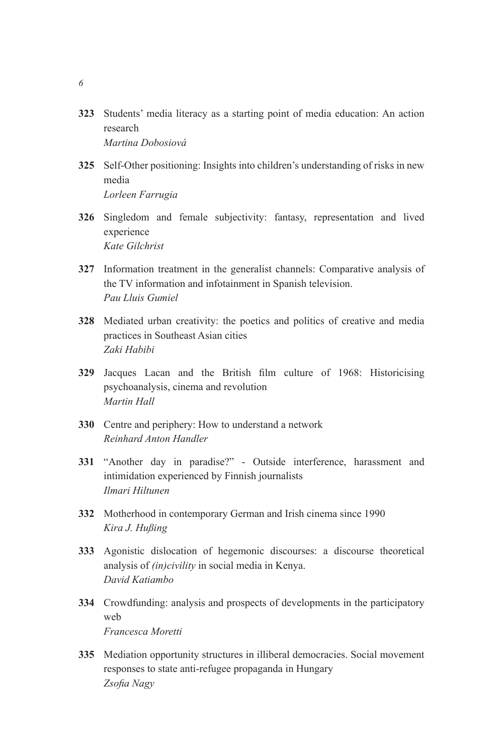- **323** [Students' media literacy as a starting point of media education: An action](#page-15-0)  [research](#page-15-0) *[Martina Dobosiová](#page-15-0)*
- **325** [Self-Other positioning: Insights into children's understanding of risks in new](#page-17-0)  [media](#page-17-0) *[Lorleen Farrugia](#page-17-0)*
- **326** Singledom and female subjectivity: fantasy, representation and lived experience *Kate Gilchrist*
- **327** Information treatment in the generalist channels: Comparative analysis of the TV information and infotainment in Spanish television. *Pau Lluis Gumiel*
- **328** Mediated urban creativity: the poetics and politics of creative and media practices in Southeast Asian cities *Zaki Habibi*
- **329** Jacques Lacan and the British flm culture of 1968: Historicising psychoanalysis, cinema and revolution *Martin Hall*
- **330** Centre and periphery: How to understand a network *Reinhard Anton Handler*
- **331** "Another day in paradise?" Outside interference, harassment and intimidation experienced by Finnish journalists *Ilmari Hiltunen*
- **332** Motherhood in contemporary German and Irish cinema since 1990 *Kira J. Hußing*
- **333** Agonistic dislocation of hegemonic discourses: a discourse theoretical analysis of *(in)civility* in social media in Kenya. *David Katiambo*
- **334** Crowdfunding: analysis and prospects of developments in the participatory web *Francesca Moretti*
- **335** Mediation opportunity structures in illiberal democracies. Social movement responses to state anti-refugee propaganda in Hungary *Zsofa Nagy*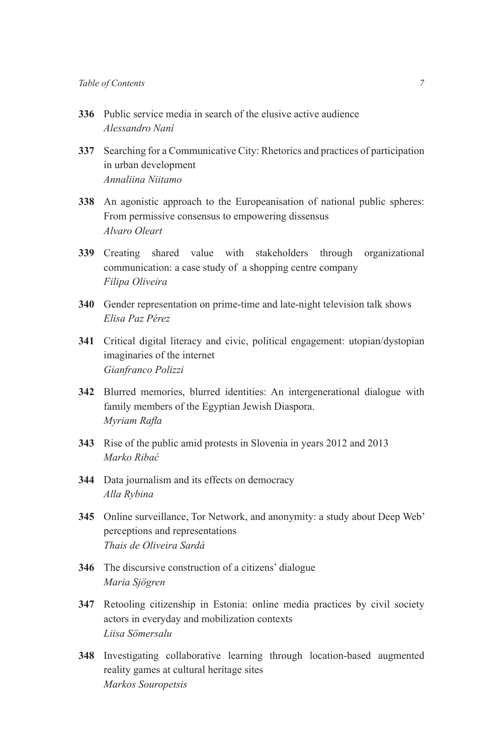- **336** Public service media in search of the elusive active audience *Alessandro Nanì*
- **337** Searching for a Communicative City: Rhetorics and practices of participation in urban development *Annaliina Niitamo*
- **338** An agonistic approach to the Europeanisation of national public spheres: From permissive consensus to empowering dissensus *Alvaro Oleart*
- **339** Creating shared value with stakeholders through organizational communication: a case study of a shopping centre company *Filipa Oliveira*
- **340** Gender representation on prime-time and late-night television talk shows *Elisa Paz Pérez*
- **341** Critical digital literacy and civic, political engagement: utopian/dystopian imaginaries of the internet *Gianfranco Polizzi*
- **342** Blurred memories, blurred identities: An intergenerational dialogue with family members of the Egyptian Jewish Diaspora. *Myriam Rafa*
- **343** Rise of the public amid protests in Slovenia in years 2012 and 2013 *Marko Ribać*
- **344** Data journalism and its effects on democracy *Alla Rybina*
- **345** Online surveillance, Tor Network, and anonymity: a study about Deep Web' perceptions and representations *Thais de Oliveira Sardá*
- **346** The discursive construction of a citizens' dialogue *Maria Sjögren*
- **347** Retooling citizenship in Estonia: online media practices by civil society actors in everyday and mobilization contexts *Liisa Sömersalu*
- **348** Investigating collaborative learning through location-based augmented reality games at cultural heritage sites *Markos Souropetsis*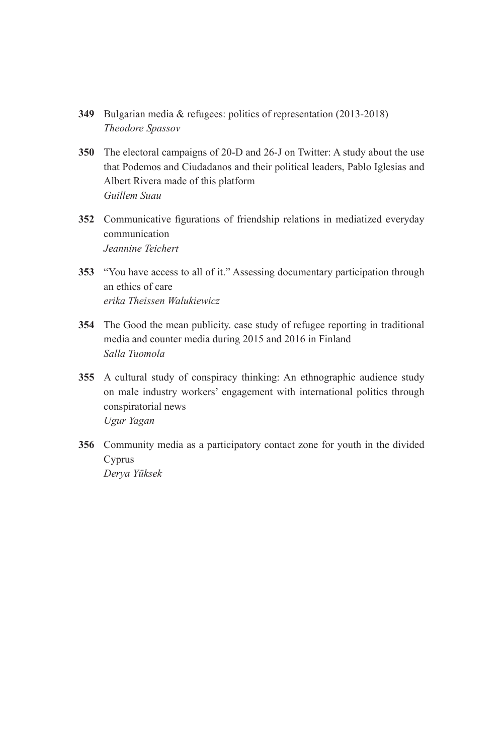- **349** Bulgarian media & refugees: politics of representation (2013-2018) *Theodore Spassov*
- **350** The electoral campaigns of 20-D and 26-J on Twitter: A study about the use that Podemos and Ciudadanos and their political leaders, Pablo Iglesias and Albert Rivera made of this platform *Guillem Suau*
- **352** Communicative fgurations of friendship relations in mediatized everyday communication *Jeannine Teichert*
- **353** "You have access to all of it." Assessing documentary participation through an ethics of care *erika Theissen Walukiewicz*
- **354** The Good the mean publicity. case study of refugee reporting in traditional media and counter media during 2015 and 2016 in Finland *Salla Tuomola*
- **355** A cultural study of conspiracy thinking: An ethnographic audience study on male industry workers' engagement with international politics through conspiratorial news *Ugur Yagan*
- **356** Community media as a participatory contact zone for youth in the divided Cyprus *Derya Yüksek*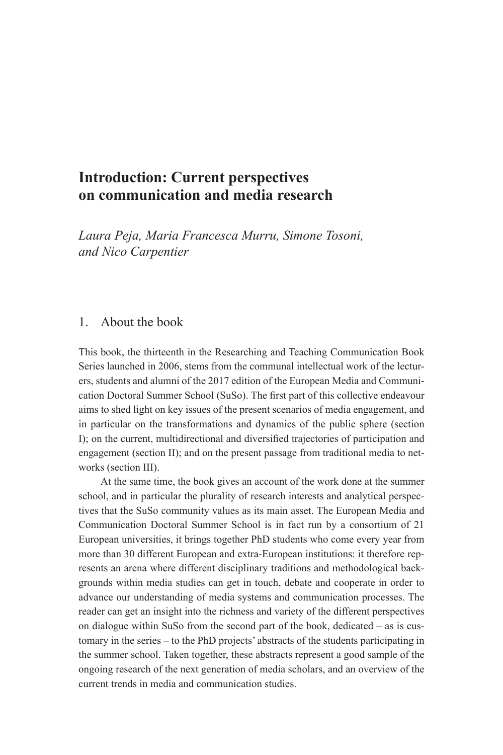# <span id="page-9-0"></span>**Introduction: Current perspectives on communication and media research**

*Laura Peja, Maria Francesca Murru, Simone Tosoni, and Nico Carpentier*

## 1. About the book

This book, the thirteenth in the Researching and Teaching Communication Book Series launched in 2006, stems from the communal intellectual work of the lecturers, students and alumni of the 2017 edition of the European Media and Communication Doctoral Summer School (SuSo). The frst part of this collective endeavour aims to shed light on key issues of the present scenarios of media engagement, and in particular on the transformations and dynamics of the public sphere (section I); on the current, multidirectional and diversifed trajectories of participation and engagement (section II); and on the present passage from traditional media to networks (section III).

At the same time, the book gives an account of the work done at the summer school, and in particular the plurality of research interests and analytical perspectives that the SuSo community values as its main asset. The European Media and Communication Doctoral Summer School is in fact run by a consortium of 21 European universities, it brings together PhD students who come every year from more than 30 different European and extra-European institutions: it therefore represents an arena where different disciplinary traditions and methodological backgrounds within media studies can get in touch, debate and cooperate in order to advance our understanding of media systems and communication processes. The reader can get an insight into the richness and variety of the different perspectives on dialogue within SuSo from the second part of the book, dedicated – as is customary in the series – to the PhD projects' abstracts of the students participating in the summer school. Taken together, these abstracts represent a good sample of the ongoing research of the next generation of media scholars, and an overview of the current trends in media and communication studies.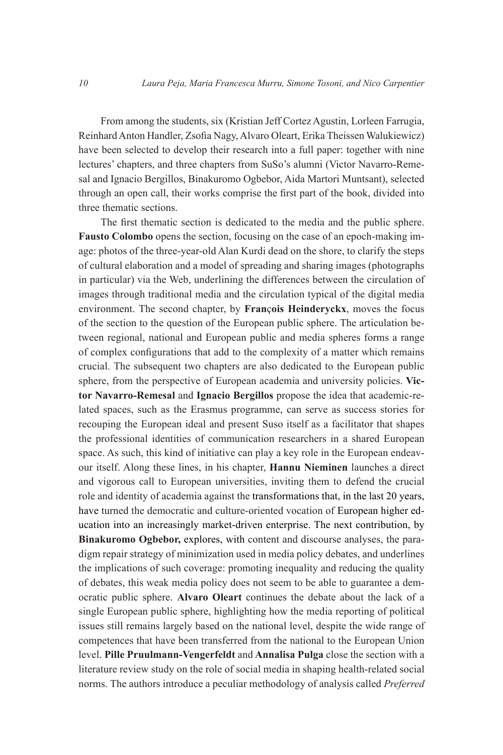<span id="page-10-0"></span>From among the students, six (Kristian Jeff Cortez Agustin, Lorleen Farrugia, Reinhard Anton Handler, Zsofa Nagy, Alvaro Oleart, Erika Theissen Walukiewicz) have been selected to develop their research into a full paper: together with nine lectures' chapters, and three chapters from SuSo's alumni (Victor Navarro-Remesal and Ignacio Bergillos, Binakuromo Ogbebor, Aida Martori Muntsant), selected through an open call, their works comprise the frst part of the book, divided into three thematic sections.

The frst thematic section is dedicated to the media and the public sphere. **Fausto Colombo** opens the section, focusing on the case of an epoch-making image: photos of the three-year-old Alan Kurdi dead on the shore, to clarify the steps of cultural elaboration and a model of spreading and sharing images (photographs in particular) via the Web, underlining the differences between the circulation of images through traditional media and the circulation typical of the digital media environment. The second chapter, by **Fran**ç**ois Heinderyckx**, moves the focus of the section to the question of the European public sphere. The articulation between regional, national and European public and media spheres forms a range of complex confgurations that add to the complexity of a matter which remains crucial. The subsequent two chapters are also dedicated to the European public sphere, from the perspective of European academia and university policies. **Victor Navarro-Remesal** and **Ignacio Bergillos** propose the idea that academic-related spaces, such as the Erasmus programme, can serve as success stories for recouping the European ideal and present Suso itself as a facilitator that shapes the professional identities of communication researchers in a shared European space. As such, this kind of initiative can play a key role in the European endeavour itself. Along these lines, in his chapter, **Hannu Nieminen** launches a direct and vigorous call to European universities, inviting them to defend the crucial role and identity of academia against the transformations that, in the last 20 years, have turned the democratic and culture-oriented vocation of European higher education into an increasingly market-driven enterprise. The next contribution, by **Binakuromo Ogbebor,** explores, with content and discourse analyses, the paradigm repair strategy of minimization used in media policy debates, and underlines the implications of such coverage: promoting inequality and reducing the quality of debates, this weak media policy does not seem to be able to guarantee a democratic public sphere. **Alvaro Oleart** continues the debate about the lack of a single European public sphere, highlighting how the media reporting of political issues still remains largely based on the national level, despite the wide range of competences that have been transferred from the national to the European Union level. **Pille Pruulmann-Vengerfeldt** and **Annalisa Pulga** close the section with a literature review study on the role of social media in shaping health-related social norms. The authors introduce a peculiar methodology of analysis called *Preferred*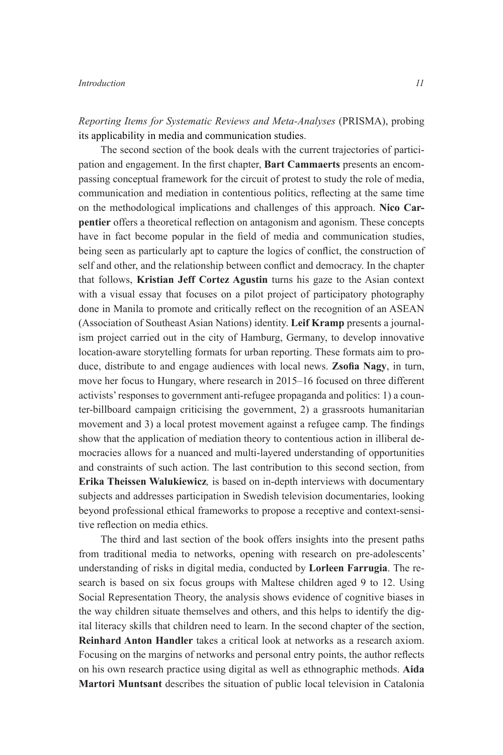#### <span id="page-11-0"></span>*Introduction 11*

*Reporting Items for Systematic Reviews and Meta-Analyses* (PRISMA), probing its applicability in media and communication studies.

The second section of the book deals with the current trajectories of participation and engagement. In the frst chapter, **Bart Cammaerts** presents an encompassing conceptual framework for the circuit of protest to study the role of media, communication and mediation in contentious politics, refecting at the same time on the methodological implications and challenges of this approach. **Nico Carpentier** offers a theoretical refection on antagonism and agonism. These concepts have in fact become popular in the feld of media and communication studies, being seen as particularly apt to capture the logics of confict, the construction of self and other, and the relationship between confict and democracy. In the chapter that follows, **Kristian Jeff Cortez Agustin** turns his gaze to the Asian context with a visual essay that focuses on a pilot project of participatory photography done in Manila to promote and critically refect on the recognition of an ASEAN (Association of Southeast Asian Nations) identity. **Leif Kramp** presents a journalism project carried out in the city of Hamburg, Germany, to develop innovative location-aware storytelling formats for urban reporting. These formats aim to produce, distribute to and engage audiences with local news. **Zsofa Nagy**, in turn, move her focus to Hungary, where research in 2015–16 focused on three different activists' responses to government anti-refugee propaganda and politics: 1) a counter-billboard campaign criticising the government, 2) a grassroots humanitarian movement and 3) a local protest movement against a refugee camp. The fndings show that the application of mediation theory to contentious action in illiberal democracies allows for a nuanced and multi-layered understanding of opportunities and constraints of such action. The last contribution to this second section, from **Erika Theissen Walukiewicz***,* is based on in-depth interviews with documentary subjects and addresses participation in Swedish television documentaries, looking beyond professional ethical frameworks to propose a receptive and context-sensitive refection on media ethics.

The third and last section of the book offers insights into the present paths from traditional media to networks, opening with research on pre-adolescents' understanding of risks in digital media, conducted by **Lorleen Farrugia**. The research is based on six focus groups with Maltese children aged 9 to 12. Using Social Representation Theory, the analysis shows evidence of cognitive biases in the way children situate themselves and others, and this helps to identify the digital literacy skills that children need to learn. In the second chapter of the section, **Reinhard Anton Handler** takes a critical look at networks as a research axiom. Focusing on the margins of networks and personal entry points, the author refects on his own research practice using digital as well as ethnographic methods. **Aida Martori Muntsant** describes the situation of public local television in Catalonia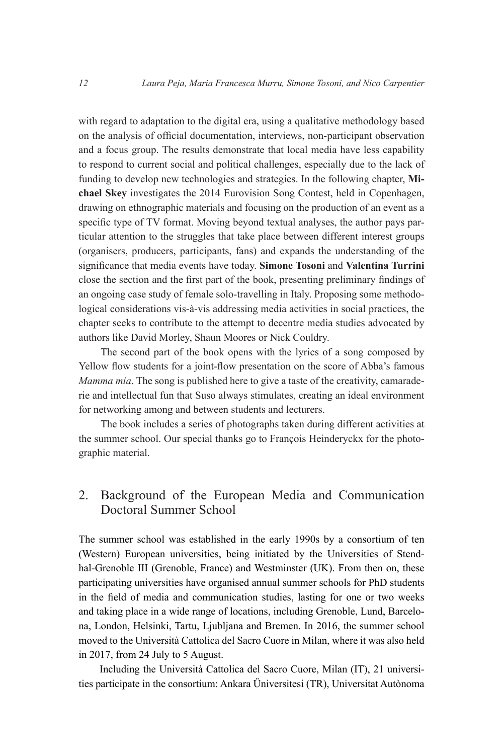<span id="page-12-0"></span>with regard to adaptation to the digital era, using a qualitative methodology based on the analysis of offcial documentation, interviews, non-participant observation and a focus group. The results demonstrate that local media have less capability to respond to current social and political challenges, especially due to the lack of funding to develop new technologies and strategies. In the following chapter, **Michael Skey** investigates the 2014 Eurovision Song Contest, held in Copenhagen, drawing on ethnographic materials and focusing on the production of an event as a specifc type of TV format. Moving beyond textual analyses, the author pays particular attention to the struggles that take place between different interest groups (organisers, producers, participants, fans) and expands the understanding of the signifcance that media events have today. **Simone Tosoni** and **Valentina Turrini**  close the section and the frst part of the book, presenting preliminary fndings of an ongoing case study of female solo-travelling in Italy. Proposing some methodological considerations vis-à-vis addressing media activities in social practices, the chapter seeks to contribute to the attempt to decentre media studies advocated by authors like David Morley, Shaun Moores or Nick Couldry.

The second part of the book opens with the lyrics of a song composed by Yellow flow students for a joint-flow presentation on the score of Abba's famous *Mamma mia*. The song is published here to give a taste of the creativity, camaraderie and intellectual fun that Suso always stimulates, creating an ideal environment for networking among and between students and lecturers.

The book includes a series of photographs taken during different activities at the summer school. Our special thanks go to François Heinderyckx for the photographic material.

# 2. Background of the European Media and Communication Doctoral Summer School

The summer school was established in the early 1990s by a consortium of ten (Western) European universities, being initiated by the Universities of Stendhal-Grenoble III (Grenoble, France) and Westminster (UK). From then on, these participating universities have organised annual summer schools for PhD students in the feld of media and communication studies, lasting for one or two weeks and taking place in a wide range of locations, including Grenoble, Lund, Barcelona, London, Helsinki, Tartu, Ljubljana and Bremen. In 2016, the summer school moved to the Università Cattolica del Sacro Cuore in Milan, where it was also held in 2017, from 24 July to 5 August.

Including the Università Cattolica del Sacro Cuore, Milan (IT), 21 universities participate in the consortium: Ankara Üniversitesi (TR), Universitat Autònoma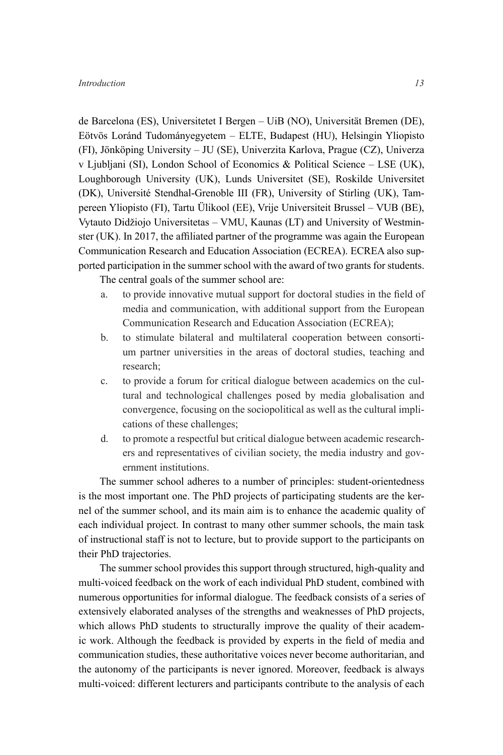<span id="page-13-0"></span>de Barcelona (ES), Universitetet I Bergen – UiB (NO), Universität Bremen (DE), Eötvös Loránd Tudományegyetem – ELTE, Budapest (HU), Helsingin Yliopisto (FI), Jönköping University – JU (SE), Univerzita Karlova, Prague (CZ), Univerza v Ljubljani (SI), London School of Economics & Political Science – LSE (UK), Loughborough University (UK), Lunds Universitet (SE), Roskilde Universitet (DK), Université Stendhal-Grenoble III (FR), University of Stirling (UK), Tampereen Yliopisto (FI), Tartu Ülikool (EE), Vrije Universiteit Brussel – VUB (BE), Vytauto Didžiojo Universitetas – VMU, Kaunas (LT) and University of Westminster (UK). In 2017, the affliated partner of the programme was again the European Communication Research and Education Association (ECREA). ECREA also supported participation in the summer school with the award of two grants for students.

The central goals of the summer school are:

- a. to provide innovative mutual support for doctoral studies in the feld of media and communication, with additional support from the European Communication Research and Education Association (ECREA);
- b. to stimulate bilateral and multilateral cooperation between consortium partner universities in the areas of doctoral studies, teaching and research;
- c. to provide a forum for critical dialogue between academics on the cultural and technological challenges posed by media globalisation and convergence, focusing on the sociopolitical as well as the cultural implications of these challenges;
- d. to promote a respectful but critical dialogue between academic researchers and representatives of civilian society, the media industry and government institutions.

The summer school adheres to a number of principles: student-orientedness is the most important one. The PhD projects of participating students are the kernel of the summer school, and its main aim is to enhance the academic quality of each individual project. In contrast to many other summer schools, the main task of instructional staff is not to lecture, but to provide support to the participants on their PhD trajectories.

The summer school provides this support through structured, high-quality and multi-voiced feedback on the work of each individual PhD student, combined with numerous opportunities for informal dialogue. The feedback consists of a series of extensively elaborated analyses of the strengths and weaknesses of PhD projects, which allows PhD students to structurally improve the quality of their academic work. Although the feedback is provided by experts in the feld of media and communication studies, these authoritative voices never become authoritarian, and the autonomy of the participants is never ignored. Moreover, feedback is always multi-voiced: different lecturers and participants contribute to the analysis of each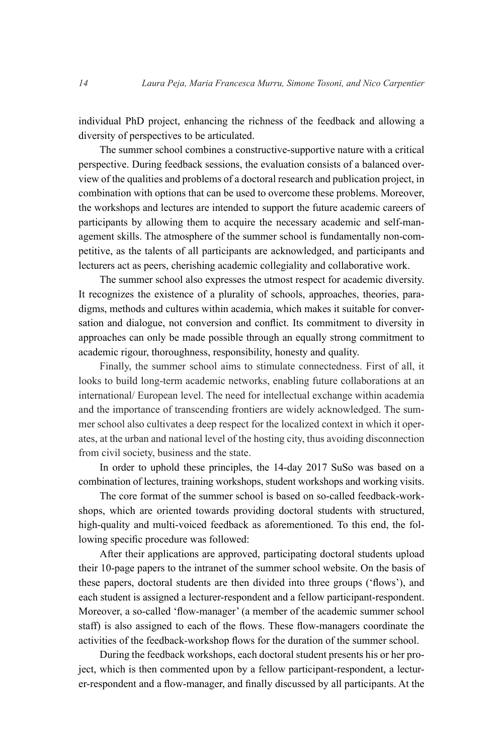<span id="page-14-0"></span>individual PhD project, enhancing the richness of the feedback and allowing a diversity of perspectives to be articulated.

The summer school combines a constructive-supportive nature with a critical perspective. During feedback sessions, the evaluation consists of a balanced overview of the qualities and problems of a doctoral research and publication project, in combination with options that can be used to overcome these problems. Moreover, the workshops and lectures are intended to support the future academic careers of participants by allowing them to acquire the necessary academic and self-management skills. The atmosphere of the summer school is fundamentally non-competitive, as the talents of all participants are acknowledged, and participants and lecturers act as peers, cherishing academic collegiality and collaborative work.

The summer school also expresses the utmost respect for academic diversity. It recognizes the existence of a plurality of schools, approaches, theories, paradigms, methods and cultures within academia, which makes it suitable for conversation and dialogue, not conversion and confict. Its commitment to diversity in approaches can only be made possible through an equally strong commitment to academic rigour, thoroughness, responsibility, honesty and quality.

Finally, the summer school aims to stimulate connectedness. First of all, it looks to build long-term academic networks, enabling future collaborations at an international/ European level. The need for intellectual exchange within academia and the importance of transcending frontiers are widely acknowledged. The summer school also cultivates a deep respect for the localized context in which it operates, at the urban and national level of the hosting city, thus avoiding disconnection from civil society, business and the state.

In order to uphold these principles, the 14-day 2017 SuSo was based on a combination of lectures, training workshops, student workshops and working visits.

The core format of the summer school is based on so-called feedback-workshops, which are oriented towards providing doctoral students with structured, high-quality and multi-voiced feedback as aforementioned. To this end, the following specifc procedure was followed:

After their applications are approved, participating doctoral students upload their 10-page papers to the intranet of the summer school website. On the basis of these papers, doctoral students are then divided into three groups ('fows'), and each student is assigned a lecturer-respondent and a fellow participant-respondent. Moreover, a so-called 'flow-manager' (a member of the academic summer school staff) is also assigned to each of the flows. These flow-managers coordinate the activities of the feedback-workshop fows for the duration of the summer school.

During the feedback workshops, each doctoral student presents his or her project, which is then commented upon by a fellow participant-respondent, a lecturer-respondent and a fow-manager, and fnally discussed by all participants. At the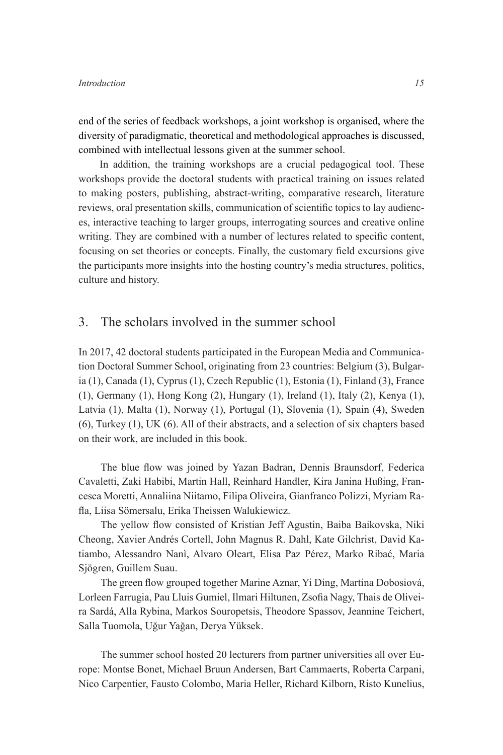<span id="page-15-0"></span>end of the series of feedback workshops, a joint workshop is organised, where the diversity of paradigmatic, theoretical and methodological approaches is discussed, combined with intellectual lessons given at the summer school.

In addition, the training workshops are a crucial pedagogical tool. These workshops provide the doctoral students with practical training on issues related to making posters, publishing, abstract-writing, comparative research, literature reviews, oral presentation skills, communication of scientifc topics to lay audiences, interactive teaching to larger groups, interrogating sources and creative online writing. They are combined with a number of lectures related to specific content, focusing on set theories or concepts. Finally, the customary feld excursions give the participants more insights into the hosting country's media structures, politics, culture and history.

#### 3. The scholars involved in the summer school

In 2017, 42 doctoral students participated in the European Media and Communication Doctoral Summer School, originating from 23 countries: Belgium (3), Bulgaria (1), Canada (1), Cyprus (1), Czech Republic (1), Estonia (1), Finland (3), France (1), Germany (1), Hong Kong (2), Hungary (1), Ireland (1), Italy (2), Kenya (1), Latvia (1), Malta (1), Norway (1), Portugal (1), Slovenia (1), Spain (4), Sweden (6), Turkey (1), UK (6). All of their abstracts, and a selection of six chapters based on their work, are included in this book.

The blue flow was joined by Yazan Badran, Dennis Braunsdorf, Federica Cavaletti, Zaki Habibi, Martin Hall, Reinhard Handler, Kira Janina Hußing, Francesca Moretti, Annaliina Niitamo, Filipa Oliveira, Gianfranco Polizzi, Myriam Rafa, Liisa Sömersalu, Erika Theissen Walukiewicz.

The yellow flow consisted of Kristian Jeff Agustin, Baiba Baikovska, Niki Cheong, Xavier Andrés Cortell, John Magnus R. Dahl, Kate Gilchrist, David Katiambo, Alessandro Nanì, Alvaro Oleart, Elisa Paz Pérez, Marko Ribać, Maria Sjögren, Guillem Suau.

The green fow grouped together Marine Aznar, Yi Ding, Martina Dobosiová, Lorleen Farrugia, Pau Lluis Gumiel, Ilmari Hiltunen, Zsofa Nagy, Thais de Oliveira Sardá, Alla Rybina, Markos Souropetsis, Theodore Spassov, Jeannine Teichert, Salla Tuomola, Uğur Yağan, Derya Yüksek.

The summer school hosted 20 lecturers from partner universities all over Europe: Montse Bonet, Michael Bruun Andersen, Bart Cammaerts, Roberta Carpani, Nico Carpentier, Fausto Colombo, Maria Heller, Richard Kilborn, Risto Kunelius,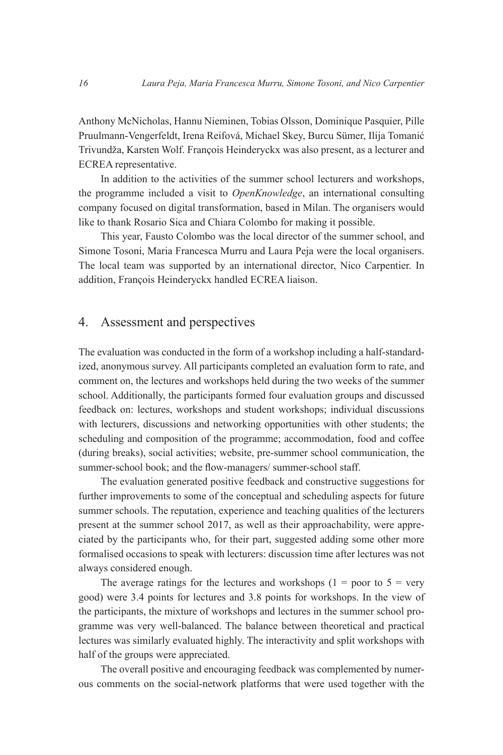Anthony McNicholas, Hannu Nieminen, Tobias Olsson, Dominique Pasquier, Pille Pruulmann-Vengerfeldt, Irena Reifová, Michael Skey, Burcu Sümer, Ilija Tomanić Trivundža, Karsten Wolf. François Heinderyckx was also present, as a lecturer and ECREA representative.

In addition to the activities of the summer school lecturers and workshops, the programme included a visit to *OpenKnowledge*, an international consulting company focused on digital transformation, based in Milan. The organisers would like to thank Rosario Sica and Chiara Colombo for making it possible.

This year, Fausto Colombo was the local director of the summer school, and Simone Tosoni, Maria Francesca Murru and Laura Peja were the local organisers. The local team was supported by an international director, Nico Carpentier. In addition, François Heinderyckx handled ECREA liaison.

### 4. Assessment and perspectives

The evaluation was conducted in the form of a workshop including a half-standardized, anonymous survey. All participants completed an evaluation form to rate, and comment on, the lectures and workshops held during the two weeks of the summer school. Additionally, the participants formed four evaluation groups and discussed feedback on: lectures, workshops and student workshops; individual discussions with lecturers, discussions and networking opportunities with other students; the scheduling and composition of the programme; accommodation, food and coffee (during breaks), social activities; website, pre-summer school communication, the summer-school book; and the flow-managers/ summer-school staff.

The evaluation generated positive feedback and constructive suggestions for further improvements to some of the conceptual and scheduling aspects for future summer schools. The reputation, experience and teaching qualities of the lecturers present at the summer school 2017, as well as their approachability, were appreciated by the participants who, for their part, suggested adding some other more formalised occasions to speak with lecturers: discussion time after lectures was not always considered enough.

The average ratings for the lectures and workshops  $(1 =$  poor to  $5 =$  very good) were 3.4 points for lectures and 3.8 points for workshops. In the view of the participants, the mixture of workshops and lectures in the summer school programme was very well-balanced. The balance between theoretical and practical lectures was similarly evaluated highly. The interactivity and split workshops with half of the groups were appreciated.

The overall positive and encouraging feedback was complemented by numerous comments on the social-network platforms that were used together with the